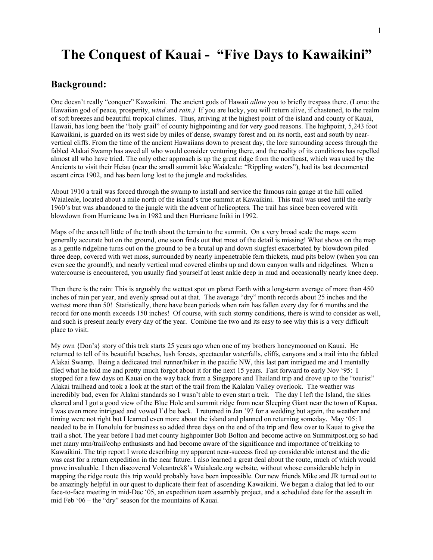# **The Conquest of Kauai - "Five Days to Kawaikini"**

### **Background:**

One doesn't really "conquer" Kawaikini. The ancient gods of Hawaii *allow* you to briefly trespass there. (Lono: the Hawaiian god of peace, prosperity, *wind* and *rain.)* If you are lucky, you will return alive, if chastened, to the realm of soft breezes and beautiful tropical climes. Thus, arriving at the highest point of the island and county of Kauai, Hawaii, has long been the "holy grail" of county highpointing and for very good reasons. The highpoint, 5,243 foot Kawaikini, is guarded on its west side by miles of dense, swampy forest and on its north, east and south by nearvertical cliffs. From the time of the ancient Hawaiians down to present day, the lore surrounding access through the fabled Alakai Swamp has awed all who would consider venturing there, and the reality of its conditions has repelled almost all who have tried. The only other approach is up the great ridge from the northeast, which was used by the Ancients to visit their Heiau (near the small summit lake Waialeale: "Rippling waters"), had its last documented ascent circa 1902, and has been long lost to the jungle and rockslides.

About 1910 a trail was forced through the swamp to install and service the famous rain gauge at the hill called Waialeale, located about a mile north of the island's true summit at Kawaikini. This trail was used until the early 1960's but was abandoned to the jungle with the advent of helicopters. The trail has since been covered with blowdown from Hurricane Iwa in 1982 and then Hurricane Iniki in 1992.

Maps of the area tell little of the truth about the terrain to the summit. On a very broad scale the maps seem generally accurate but on the ground, one soon finds out that most of the detail is missing! What shows on the map as a gentle ridgeline turns out on the ground to be a brutal up and down slugfest exacerbated by blowdown piled three deep, covered with wet moss, surrounded by nearly impenetrable fern thickets, mud pits below (when you can even see the ground!), and nearly vertical mud covered climbs up and down canyon walls and ridgelines. When a watercourse is encountered, you usually find yourself at least ankle deep in mud and occasionally nearly knee deep.

Then there is the rain: This is arguably the wettest spot on planet Earth with a long-term average of more than 450 inches of rain per year, and evenly spread out at that. The average "dry" month records about 25 inches and the wettest more than 50! Statistically, there have been periods when rain has fallen every day for 6 months and the record for one month exceeds 150 inches! Of course, with such stormy conditions, there is wind to consider as well, and such is present nearly every day of the year. Combine the two and its easy to see why this is a very difficult place to visit.

My own {Don's} story of this trek starts 25 years ago when one of my brothers honeymooned on Kauai. He returned to tell of its beautiful beaches, lush forests, spectacular waterfalls, cliffs, canyons and a trail into the fabled Alakai Swamp. Being a dedicated trail runner/hiker in the pacific NW, this last part intrigued me and I mentally filed what he told me and pretty much forgot about it for the next 15 years. Fast forward to early Nov '95: I stopped for a few days on Kauai on the way back from a Singapore and Thailand trip and drove up to the "tourist" Alakai trailhead and took a look at the start of the trail from the Kalalau Valley overlook. The weather was incredibly bad, even for Alakai standards so I wasn't able to even start a trek. The day I left the Island, the skies cleared and I got a good view of the Blue Hole and summit ridge from near Sleeping Giant near the town of Kapaa. I was even more intrigued and vowed I'd be back. I returned in Jan '97 for a wedding but again, the weather and timing were not right but I learned even more about the island and planned on returning someday. May '05: I needed to be in Honolulu for business so added three days on the end of the trip and flew over to Kauai to give the trail a shot. The year before I had met county highpointer Bob Bolton and become active on Summitpost.org so had met many mtn/trail/cohp enthusiasts and had become aware of the significance and importance of trekking to Kawaikini. The trip report I wrote describing my apparent near-success fired up considerable interest and the die was cast for a return expedition in the near future. I also learned a great deal about the route, much of which would prove invaluable. I then discovered Volcantrek8's Waialeale.org website, without whose considerable help in mapping the ridge route this trip would probably have been impossible. Our new friends Mike and JR turned out to be amazingly helpful in our quest to duplicate their feat of ascending Kawaikini. We began a dialog that led to our face-to-face meeting in mid-Dec '05, an expedition team assembly project, and a scheduled date for the assault in mid Feb '06 – the "dry" season for the mountains of Kauai.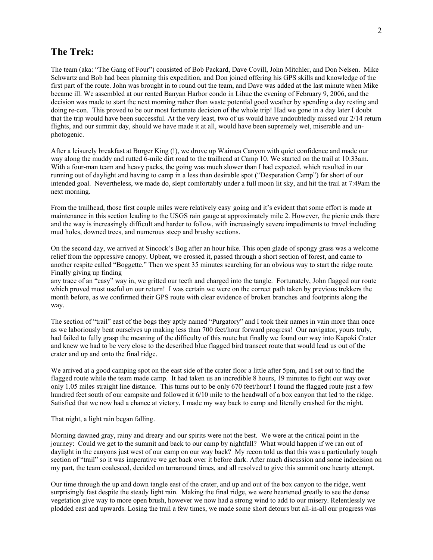### **The Trek:**

The team (aka: "The Gang of Four") consisted of Bob Packard, Dave Covill, John Mitchler, and Don Nelsen. Mike Schwartz and Bob had been planning this expedition, and Don joined offering his GPS skills and knowledge of the first part of the route. John was brought in to round out the team, and Dave was added at the last minute when Mike became ill. We assembled at our rented Banyan Harbor condo in Lihue the evening of February 9, 2006, and the decision was made to start the next morning rather than waste potential good weather by spending a day resting and doing re-con. This proved to be our most fortunate decision of the whole trip! Had we gone in a day later I doubt that the trip would have been successful. At the very least, two of us would have undoubtedly missed our 2/14 return flights, and our summit day, should we have made it at all, would have been supremely wet, miserable and unphotogenic.

After a leisurely breakfast at Burger King (!), we drove up Waimea Canyon with quiet confidence and made our way along the muddy and rutted 6-mile dirt road to the trailhead at Camp 10. We started on the trail at 10:33am. With a four-man team and heavy packs, the going was much slower than I had expected, which resulted in our running out of daylight and having to camp in a less than desirable spot ("Desperation Camp") far short of our intended goal. Nevertheless, we made do, slept comfortably under a full moon lit sky, and hit the trail at 7:49am the next morning.

From the trailhead, those first couple miles were relatively easy going and it's evident that some effort is made at maintenance in this section leading to the USGS rain gauge at approximately mile 2. However, the picnic ends there and the way is increasingly difficult and harder to follow, with increasingly severe impediments to travel including mud holes, downed trees, and numerous steep and brushy sections.

On the second day, we arrived at Sincock's Bog after an hour hike. This open glade of spongy grass was a welcome relief from the oppressive canopy. Upbeat, we crossed it, passed through a short section of forest, and came to another respite called "Boggette." Then we spent 35 minutes searching for an obvious way to start the ridge route. Finally giving up finding

any trace of an "easy" way in, we gritted our teeth and charged into the tangle. Fortunately, John flagged our route which proved most useful on our return! I was certain we were on the correct path taken by previous trekkers the month before, as we confirmed their GPS route with clear evidence of broken branches and footprints along the way.

The section of "trail" east of the bogs they aptly named "Purgatory" and I took their names in vain more than once as we laboriously beat ourselves up making less than 700 feet/hour forward progress! Our navigator, yours truly, had failed to fully grasp the meaning of the difficulty of this route but finally we found our way into Kapoki Crater and knew we had to be very close to the described blue flagged bird transect route that would lead us out of the crater and up and onto the final ridge.

We arrived at a good camping spot on the east side of the crater floor a little after 5pm, and I set out to find the flagged route while the team made camp. It had taken us an incredible 8 hours, 19 minutes to fight our way over only 1.05 miles straight line distance. This turns out to be only 670 feet/hour! I found the flagged route just a few hundred feet south of our campsite and followed it 6/10 mile to the headwall of a box canyon that led to the ridge. Satisfied that we now had a chance at victory, I made my way back to camp and literally crashed for the night.

That night, a light rain began falling.

Morning dawned gray, rainy and dreary and our spirits were not the best. We were at the critical point in the journey: Could we get to the summit and back to our camp by nightfall? What would happen if we ran out of daylight in the canyons just west of our camp on our way back? My recon told us that this was a particularly tough section of "trail" so it was imperative we get back over it before dark. After much discussion and some indecision on my part, the team coalesced, decided on turnaround times, and all resolved to give this summit one hearty attempt.

Our time through the up and down tangle east of the crater, and up and out of the box canyon to the ridge, went surprisingly fast despite the steady light rain. Making the final ridge, we were heartened greatly to see the dense vegetation give way to more open brush, however we now had a strong wind to add to our misery. Relentlessly we plodded east and upwards. Losing the trail a few times, we made some short detours but all-in-all our progress was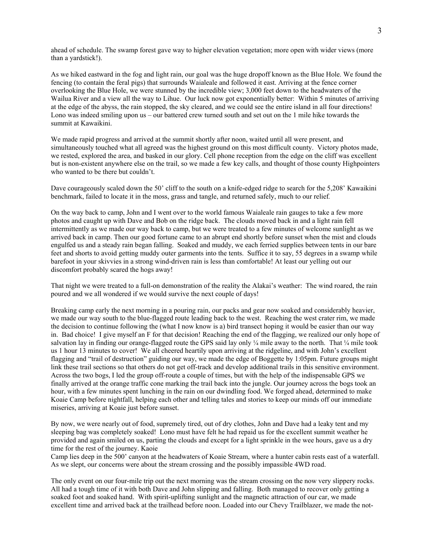ahead of schedule. The swamp forest gave way to higher elevation vegetation; more open with wider views (more than a yardstick!).

As we hiked eastward in the fog and light rain, our goal was the huge dropoff known as the Blue Hole. We found the fencing (to contain the feral pigs) that surrounds Waialeale and followed it east. Arriving at the fence corner overlooking the Blue Hole, we were stunned by the incredible view; 3,000 feet down to the headwaters of the Wailua River and a view all the way to Lihue. Our luck now got exponentially better: Within 5 minutes of arriving at the edge of the abyss, the rain stopped, the sky cleared, and we could see the entire island in all four directions! Lono was indeed smiling upon us – our battered crew turned south and set out on the 1 mile hike towards the summit at Kawaikini.

We made rapid progress and arrived at the summit shortly after noon, waited until all were present, and simultaneously touched what all agreed was the highest ground on this most difficult county. Victory photos made, we rested, explored the area, and basked in our glory. Cell phone reception from the edge on the cliff was excellent but is non-existent anywhere else on the trail, so we made a few key calls, and thought of those county Highpointers who wanted to be there but couldn't.

Dave courageously scaled down the 50' cliff to the south on a knife-edged ridge to search for the 5,208' Kawaikini benchmark, failed to locate it in the moss, grass and tangle, and returned safely, much to our relief*.* 

On the way back to camp, John and I went over to the world famous Waialeale rain gauges to take a few more photos and caught up with Dave and Bob on the ridge back. The clouds moved back in and a light rain fell intermittently as we made our way back to camp, but we were treated to a few minutes of welcome sunlight as we arrived back in camp. Then our good fortune came to an abrupt end shortly before sunset when the mist and clouds engulfed us and a steady rain began falling. Soaked and muddy, we each ferried supplies between tents in our bare feet and shorts to avoid getting muddy outer garments into the tents. Suffice it to say, 55 degrees in a swamp while barefoot in your skivvies in a strong wind-driven rain is less than comfortable! At least our yelling out our discomfort probably scared the hogs away!

That night we were treated to a full-on demonstration of the reality the Alakai's weather: The wind roared, the rain poured and we all wondered if we would survive the next couple of days!

Breaking camp early the next morning in a pouring rain, our packs and gear now soaked and considerably heavier, we made our way south to the blue-flagged route leading back to the west. Reaching the west crater rim, we made the decision to continue following the (what I now know is a) bird transect hoping it would be easier than our way in. Bad choice! I give myself an F for that decision! Reaching the end of the flagging, we realized our only hope of salvation lay in finding our orange-flagged route the GPS said lay only  $\frac{1}{4}$  mile away to the north. That  $\frac{1}{4}$  mile took us 1 hour 13 minutes to cover! We all cheered heartily upon arriving at the ridgeline, and with John's excellent flagging and "trail of destruction" guiding our way, we made the edge of Boggette by 1:05pm. Future groups might link these trail sections so that others do not get off-track and develop additional trails in this sensitive environment. Across the two bogs, I led the group off-route a couple of times, but with the help of the indispensable GPS we finally arrived at the orange traffic cone marking the trail back into the jungle. Our journey across the bogs took an hour, with a few minutes spent lunching in the rain on our dwindling food. We forged ahead, determined to make Koaie Camp before nightfall, helping each other and telling tales and stories to keep our minds off our immediate miseries, arriving at Koaie just before sunset.

By now, we were nearly out of food, supremely tired, out of dry clothes, John and Dave had a leaky tent and my sleeping bag was completely soaked! Lono must have felt he had repaid us for the excellent summit weather he provided and again smiled on us, parting the clouds and except for a light sprinkle in the wee hours, gave us a dry time for the rest of the journey. Kaoie

Camp lies deep in the 500' canyon at the headwaters of Koaie Stream, where a hunter cabin rests east of a waterfall. As we slept, our concerns were about the stream crossing and the possibly impassible 4WD road.

The only event on our four-mile trip out the next morning was the stream crossing on the now very slippery rocks. All had a tough time of it with both Dave and John slipping and falling. Both managed to recover only getting a soaked foot and soaked hand. With spirit-uplifting sunlight and the magnetic attraction of our car, we made excellent time and arrived back at the trailhead before noon. Loaded into our Chevy Trailblazer, we made the not-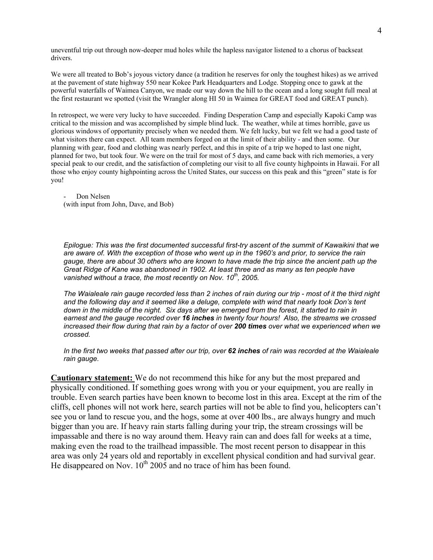uneventful trip out through now-deeper mud holes while the hapless navigator listened to a chorus of backseat drivers.

We were all treated to Bob's joyous victory dance (a tradition he reserves for only the toughest hikes) as we arrived at the pavement of state highway 550 near Kokee Park Headquarters and Lodge. Stopping once to gawk at the powerful waterfalls of Waimea Canyon, we made our way down the hill to the ocean and a long sought full meal at the first restaurant we spotted (visit the Wrangler along HI 50 in Waimea for GREAT food and GREAT punch).

In retrospect, we were very lucky to have succeeded. Finding Desperation Camp and especially Kapoki Camp was critical to the mission and was accomplished by simple blind luck. The weather, while at times horrible, gave us glorious windows of opportunity precisely when we needed them. We felt lucky, but we felt we had a good taste of what visitors there can expect. All team members forged on at the limit of their ability - and then some. Our planning with gear, food and clothing was nearly perfect, and this in spite of a trip we hoped to last one night, planned for two, but took four. We were on the trail for most of 5 days, and came back with rich memories, a very special peak to our credit, and the satisfaction of completing our visit to all five county highpoints in Hawaii. For all those who enjoy county highpointing across the United States, our success on this peak and this "green" state is for you!

Don Nelsen (with input from John, Dave, and Bob)

*Epilogue: This was the first documented successful first-try ascent of the summit of Kawaikini that we are aware of. With the exception of those who went up in the 1960's and prior, to service the rain gauge, there are about 30 others who are known to have made the trip since the ancient path up the Great Ridge of Kane was abandoned in 1902. At least three and as many as ten people have vanished without a trace, the most recently on Nov. 10th, 2005.* 

*The Waialeale rain gauge recorded less than 2 inches of rain during our trip - most of it the third night and the following day and it seemed like a deluge, complete with wind that nearly took Don's tent down in the middle of the night. Six days after we emerged from the forest, it started to rain in earnest and the gauge recorded over 16 inches in twenty four hours! Also, the streams we crossed increased their flow during that rain by a factor of over 200 times over what we experienced when we crossed.* 

*In the first two weeks that passed after our trip, over 62 inches of rain was recorded at the Waialeale rain gauge.* 

**Cautionary statement:** We do not recommend this hike for any but the most prepared and physically conditioned. If something goes wrong with you or your equipment, you are really in trouble. Even search parties have been known to become lost in this area. Except at the rim of the cliffs, cell phones will not work here, search parties will not be able to find you, helicopters can't see you or land to rescue you, and the hogs, some at over 400 lbs., are always hungry and much bigger than you are. If heavy rain starts falling during your trip, the stream crossings will be impassable and there is no way around them. Heavy rain can and does fall for weeks at a time, making even the road to the trailhead impassible. The most recent person to disappear in this area was only 24 years old and reportably in excellent physical condition and had survival gear. He disappeared on Nov.  $10^{th}$  2005 and no trace of him has been found.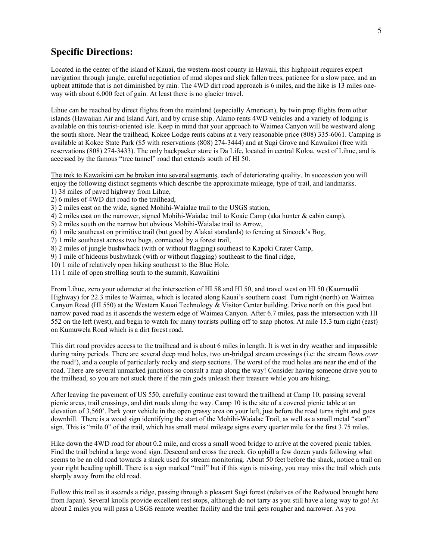# **Specific Directions:**

Located in the center of the island of Kauai, the western-most county in Hawaii, this highpoint requires expert navigation through jungle, careful negotiation of mud slopes and slick fallen trees, patience for a slow pace, and an upbeat attitude that is not diminished by rain. The 4WD dirt road approach is 6 miles, and the hike is 13 miles oneway with about 6,000 feet of gain. At least there is no glacier travel.

Lihue can be reached by direct flights from the mainland (especially American), by twin prop flights from other islands (Hawaiian Air and Island Air), and by cruise ship. Alamo rents 4WD vehicles and a variety of lodging is available on this tourist-oriented isle. Keep in mind that your approach to Waimea Canyon will be westward along the south shore. Near the trailhead, Kokee Lodge rents cabins at a very reasonable price (808) 335-6061. Camping is available at Kokee State Park (\$5 with reservations (808) 274-3444) and at Sugi Grove and Kawaikoi (free with reservations (808) 274-3433). The only backpacker store is Da Life, located in central Koloa, west of Lihue, and is accessed by the famous "tree tunnel" road that extends south of HI 50.

The trek to Kawaikini can be broken into several segments, each of deteriorating quality. In succession you will enjoy the following distinct segments which describe the approximate mileage, type of trail, and landmarks.

- 1) 38 miles of paved highway from Lihue,
- 2) 6 miles of 4WD dirt road to the trailhead,
- 3) 2 miles east on the wide, signed Mohihi-Waialae trail to the USGS station,
- 4) 2 miles east on the narrower, signed Mohihi-Waialae trail to Koaie Camp (aka hunter & cabin camp),
- 5) 2 miles south on the narrow but obvious Mohihi-Waialae trail to Arrow,
- 6) 1 mile southeast on primitive trail (but good by Alakai standards) to fencing at Sincock's Bog,
- 7) 1 mile southeast across two bogs, connected by a forest trail,
- 8) 2 miles of jungle bushwhack (with or without flagging) southeast to Kapoki Crater Camp,
- 9) 1 mile of hideous bushwhack (with or without flagging) southeast to the final ridge,
- 10) 1 mile of relatively open hiking southeast to the Blue Hole,
- 11) 1 mile of open strolling south to the summit, Kawaikini

From Lihue, zero your odometer at the intersection of HI 58 and HI 50, and travel west on HI 50 (Kaumualii Highway) for 22.3 miles to Waimea, which is located along Kauai's southern coast. Turn right (north) on Waimea Canyon Road (HI 550) at the Western Kauai Technology & Visitor Center building. Drive north on this good but narrow paved road as it ascends the western edge of Waimea Canyon. After 6.7 miles, pass the intersection with HI 552 on the left (west), and begin to watch for many tourists pulling off to snap photos. At mile 15.3 turn right (east) on Kumuwela Road which is a dirt forest road.

This dirt road provides access to the trailhead and is about 6 miles in length. It is wet in dry weather and impassible during rainy periods. There are several deep mud holes, two un-bridged stream crossings (i.e: the stream flows *over* the road!), and a couple of particularly rocky and steep sections. The worst of the mud holes are near the end of the road. There are several unmarked junctions so consult a map along the way! Consider having someone drive you to the trailhead, so you are not stuck there if the rain gods unleash their treasure while you are hiking.

After leaving the pavement of US 550, carefully continue east toward the trailhead at Camp 10, passing several picnic areas, trail crossings, and dirt roads along the way. Camp 10 is the site of a covered picnic table at an elevation of 3,560'. Park your vehicle in the open grassy area on your left, just before the road turns right and goes downhill. There is a wood sign identifying the start of the Mohihi-Waialae Trail, as well as a small metal "start" sign. This is "mile 0" of the trail, which has small metal mileage signs every quarter mile for the first 3.75 miles.

Hike down the 4WD road for about 0.2 mile, and cross a small wood bridge to arrive at the covered picnic tables. Find the trail behind a large wood sign. Descend and cross the creek. Go uphill a few dozen yards following what seems to be an old road towards a shack used for stream monitoring. About 50 feet before the shack, notice a trail on your right heading uphill. There is a sign marked "trail" but if this sign is missing, you may miss the trail which cuts sharply away from the old road.

Follow this trail as it ascends a ridge, passing through a pleasant Sugi forest (relatives of the Redwood brought here from Japan). Several knolls provide excellent rest stops, although do not tarry as you still have a long way to go! At about 2 miles you will pass a USGS remote weather facility and the trail gets rougher and narrower. As you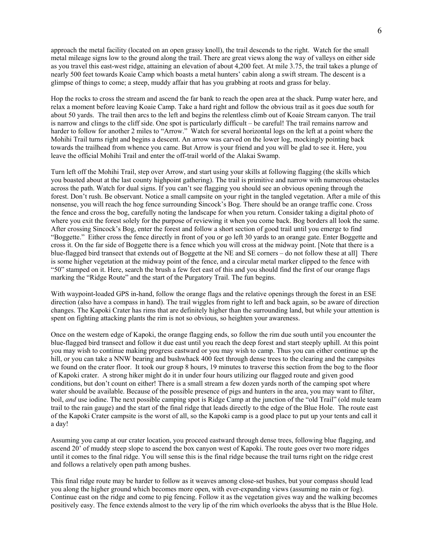approach the metal facility (located on an open grassy knoll), the trail descends to the right. Watch for the small metal mileage signs low to the ground along the trail. There are great views along the way of valleys on either side as you travel this east-west ridge, attaining an elevation of about 4,200 feet. At mile 3.75, the trail takes a plunge of nearly 500 feet towards Koaie Camp which boasts a metal hunters' cabin along a swift stream. The descent is a glimpse of things to come; a steep, muddy affair that has you grabbing at roots and grass for belay.

Hop the rocks to cross the stream and ascend the far bank to reach the open area at the shack. Pump water here, and relax a moment before leaving Koaie Camp. Take a hard right and follow the obvious trail as it goes due south for about 50 yards. The trail then arcs to the left and begins the relentless climb out of Koaie Stream canyon. The trail is narrow and clings to the cliff side. One spot is particularly difficult – be careful! The trail remains narrow and harder to follow for another 2 miles to "Arrow." Watch for several horizontal logs on the left at a point where the Mohihi Trail turns right and begins a descent. An arrow was carved on the lower log, mockingly pointing back towards the trailhead from whence you came. But Arrow is your friend and you will be glad to see it. Here, you leave the official Mohihi Trail and enter the off-trail world of the Alakai Swamp.

Turn left off the Mohihi Trail, step over Arrow, and start using your skills at following flagging (the skills which you boasted about at the last county highpoint gathering). The trail is primitive and narrow with numerous obstacles across the path. Watch for dual signs. If you can't see flagging you should see an obvious opening through the forest. Don't rush. Be observant. Notice a small campsite on your right in the tangled vegetation. After a mile of this nonsense, you will reach the hog fence surrounding Sincock's Bog. There should be an orange traffic cone. Cross the fence and cross the bog, carefully noting the landscape for when you return. Consider taking a digital photo of where you exit the forest solely for the purpose of reviewing it when you come back. Bog borders all look the same. After crossing Sincock's Bog, enter the forest and follow a short section of good trail until you emerge to find "Boggette." Either cross the fence directly in front of you or go left 30 yards to an orange gate. Enter Boggette and cross it. On the far side of Boggette there is a fence which you will cross at the midway point. [Note that there is a blue-flagged bird transect that extends out of Boggette at the NE and SE corners – do not follow these at all] There is some higher vegetation at the midway point of the fence, and a circular metal marker clipped to the fence with "50" stamped on it. Here, search the brush a few feet east of this and you should find the first of our orange flags marking the "Ridge Route" and the start of the Purgatory Trail. The fun begins.

With waypoint-loaded GPS in-hand, follow the orange flags and the relative openings through the forest in an ESE direction (also have a compass in hand). The trail wiggles from right to left and back again, so be aware of direction changes. The Kapoki Crater has rims that are definitely higher than the surrounding land, but while your attention is spent on fighting attacking plants the rim is not so obvious, so heighten your awareness.

Once on the western edge of Kapoki, the orange flagging ends, so follow the rim due south until you encounter the blue-flagged bird transect and follow it due east until you reach the deep forest and start steeply uphill. At this point you may wish to continue making progress eastward or you may wish to camp. Thus you can either continue up the hill, or you can take a NNW bearing and bushwhack 400 feet through dense trees to the clearing and the campsites we found on the crater floor. It took our group 8 hours, 19 minutes to traverse this section from the bog to the floor of Kapoki crater. A strong hiker might do it in under four hours utilizing our flagged route and given good conditions, but don't count on either! There is a small stream a few dozen yards north of the camping spot where water should be available. Because of the possible presence of pigs and hunters in the area, you may want to filter, boil, *and* use iodine. The next possible camping spot is Ridge Camp at the junction of the "old Trail" (old mule team trail to the rain gauge) and the start of the final ridge that leads directly to the edge of the Blue Hole. The route east of the Kapoki Crater campsite is the worst of all, so the Kapoki camp is a good place to put up your tents and call it a day!

Assuming you camp at our crater location, you proceed eastward through dense trees, following blue flagging, and ascend 20' of muddy steep slope to ascend the box canyon west of Kapoki. The route goes over two more ridges until it comes to the final ridge. You will sense this is the final ridge because the trail turns right on the ridge crest and follows a relatively open path among bushes.

This final ridge route may be harder to follow as it weaves among close-set bushes, but your compass should lead you along the higher ground which becomes more open, with ever-expanding views (assuming no rain or fog). Continue east on the ridge and come to pig fencing. Follow it as the vegetation gives way and the walking becomes positively easy. The fence extends almost to the very lip of the rim which overlooks the abyss that is the Blue Hole.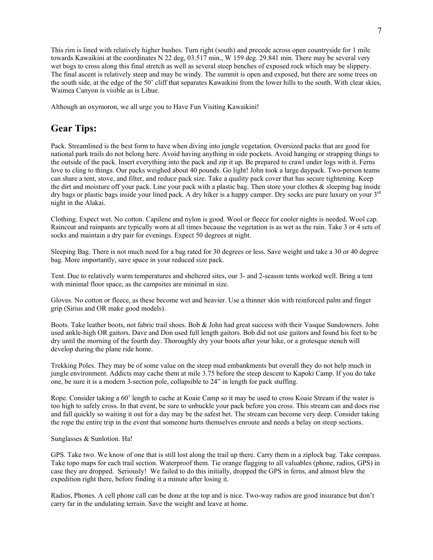This rim is lined with relatively higher bushes. Turn right (south) and precede across open countryside for 1 mile towards Kawaikini at the coordinates N 22 deg, 03.517 min., W 159 deg. 29.841 min. There may be several very wet bogs to cross along this final stretch as well as several steep benches of exposed rock which may be slippery. The final ascent is relatively steep and may be windy. The summit is open and exposed, but there are some trees on the south side, at the edge of the 50' cliff that separates Kawaikini from the lower hills to the south. With clear skies, Waimea Canyon is visible as is Lihue.

Although an oxymoron, we all urge you to Have Fun Visiting Kawaikini!

# **Gear Tips:**

Pack. Streamlined is the best form to have when diving into jungle vegetation. Oversized packs that are good for national park trails do not belong here. Avoid having anything in side pockets. Avoid hanging or strapping things to the outside of the pack. Insert everything into the pack and zip it up. Be prepared to crawl under logs with it. Ferns love to cling to things. Our packs weighed about 40 pounds. Go light! John took a large daypack. Two-person teams can share a tent, stove, and filter, and reduce pack size. Take a quality pack cover that has secure tightening. Keep the dirt and moisture off your pack. Line your pack with a plastic bag. Then store your clothes & sleeping bag inside dry bags or plastic bags inside your lined pack. A dry hiker is a happy camper. Dry socks are pure luxury on your 3<sup>rd</sup> night in the Alakai.

Clothing. Expect wet. No cotton. Capilene and nylon is good. Wool or fleece for cooler nights is needed. Wool cap. Raincoat and rainpants are typically worn at all times because the vegetation is as wet as the rain. Take 3 or 4 sets of socks and maintain a dry pair for evenings. Expect 50 degrees at night.

Sleeping Bag. There is not much need for a bag rated for 30 degrees or less. Save weight and take a 30 or 40 degree bag. More importantly, save space in your reduced size pack.

Tent. Due to relatively warm temperatures and sheltered sites, our 3- and 2-season tents worked well. Bring a tent with minimal floor space, as the campsites are minimal in size.

Gloves. No cotton or fleece, as these become wet and heavier. Use a thinner skin with reinforced palm and finger grip (Sirius and OR make good models).

Boots. Take leather boots, not fabric trail shoes. Bob & John had great success with their Vasque Sundowners. John used ankle-high OR gaitors. Dave and Don used full length gaitors. Bob did not use gaitors and found his feet to be dry until the morning of the fourth day. Thoroughly dry your boots after your hike, or a grotesque stench will develop during the plane ride home.

Trekking Poles. They may be of some value on the steep mud embankments but overall they do not help much in jungle environment. Addicts may cache them at mile 3.75 before the steep descent to Kapoki Camp. If you do take one, be sure it is a modern 3-section pole, collapsible to 24" in length for pack stuffing.

Rope. Consider taking a 60' length to cache at Koaie Camp so it may be used to cross Koaie Stream if the water is too high to safely cross. In that event, be sure to unbuckle your pack before you cross. This stream can and does rise and fall quickly so waiting it out for a day may be the safest bet. The stream can become very deep. Consider taking the rope the entire trip in the event that someone hurts themselves enroute and needs a belay on steep sections.

#### Sunglasses & Sunlotion. Ha!

GPS. Take two. We know of one that is still lost along the trail up there. Carry them in a ziplock bag. Take compass. Take topo maps for each trail section. Waterproof them. Tie orange flagging to all valuables (phone, radios, GPS) in case they are dropped. Seriously! We failed to do this initially, dropped the GPS in ferns, and almost blew the expedition right there, before finding it a minute after losing it.

Radios, Phones. A cell phone call can be done at the top and is nice. Two-way radios are good insurance but don't carry far in the undulating terrain. Save the weight and leave at home.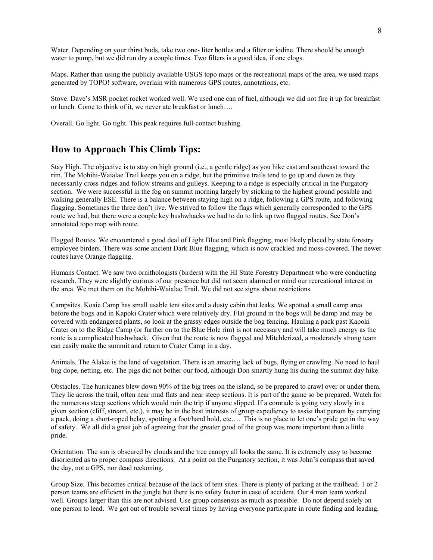Water. Depending on your thirst buds, take two one- liter bottles and a filter or iodine. There should be enough water to pump, but we did run dry a couple times. Two filters is a good idea, if one clogs.

Maps. Rather than using the publicly available USGS topo maps or the recreational maps of the area, we used maps generated by TOPO! software, overlain with numerous GPS routes, annotations, etc.

Stove. Dave's MSR pocket rocket worked well. We used one can of fuel, although we did not fire it up for breakfast or lunch. Come to think of it, we never ate breakfast or lunch….

Overall. Go light. Go tight. This peak requires full-contact bushing.

## **How to Approach This Climb Tips:**

Stay High. The objective is to stay on high ground (i.e., a gentle ridge) as you hike east and southeast toward the rim. The Mohihi-Waialae Trail keeps you on a ridge, but the primitive trails tend to go up and down as they necessarily cross ridges and follow streams and gulleys. Keeping to a ridge is especially critical in the Purgatory section. We were successful in the fog on summit morning largely by sticking to the highest ground possible and walking generally ESE. There is a balance between staying high on a ridge, following a GPS route, and following flagging. Sometimes the three don't jive. We strived to follow the flags which generally corresponded to the GPS route we had, but there were a couple key bushwhacks we had to do to link up two flagged routes. See Don's annotated topo map with route.

Flagged Routes. We encountered a good deal of Light Blue and Pink flagging, most likely placed by state forestry employee birders. There was some ancient Dark Blue flagging, which is now crackled and moss-covered. The newer routes have Orange flagging.

Humans Contact. We saw two ornithologists (birders) with the HI State Forestry Department who were conducting research. They were slightly curious of our presence but did not seem alarmed or mind our recreational interest in the area. We met them on the Mohihi-Waialae Trail. We did not see signs about restrictions.

Campsites. Koaie Camp has small usable tent sites and a dusty cabin that leaks. We spotted a small camp area before the bogs and in Kapoki Crater which were relatively dry. Flat ground in the bogs will be damp and may be covered with endangered plants, so look at the grassy edges outside the bog fencing. Hauling a pack past Kapoki Crater on to the Ridge Camp (or further on to the Blue Hole rim) is not necessary and will take much energy as the route is a complicated bushwhack. Given that the route is now flagged and Mitchlerized, a moderately strong team can easily make the summit and return to Crater Camp in a day.

Animals. The Alakai is the land of vegetation. There is an amazing lack of bugs, flying or crawling. No need to haul bug dope, netting, etc. The pigs did not bother our food, although Don smartly hung his during the summit day hike.

Obstacles. The hurricanes blew down 90% of the big trees on the island, so be prepared to crawl over or under them. They lie across the trail, often near mud flats and near steep sections. It is part of the game so be prepared. Watch for the numerous steep sections which would ruin the trip if anyone slipped. If a comrade is going very slowly in a given section (cliff, stream, etc.), it may be in the best interests of group expediency to assist that person by carrying a pack, doing a short-roped belay, spotting a foot/hand hold, etc…. This is no place to let one's pride get in the way of safety. We all did a great job of agreeing that the greater good of the group was more important than a little pride.

Orientation. The sun is obscured by clouds and the tree canopy all looks the same. It is extremely easy to become disoriented as to proper compass directions. At a point on the Purgatory section, it was John's compass that saved the day, not a GPS, nor dead reckoning.

Group Size. This becomes critical because of the lack of tent sites. There is plenty of parking at the trailhead. 1 or 2 person teams are efficient in the jungle but there is no safety factor in case of accident. Our 4 man team worked well. Groups larger than this are not advised. Use group consensus as much as possible. Do not depend solely on one person to lead. We got out of trouble several times by having everyone participate in route finding and leading.